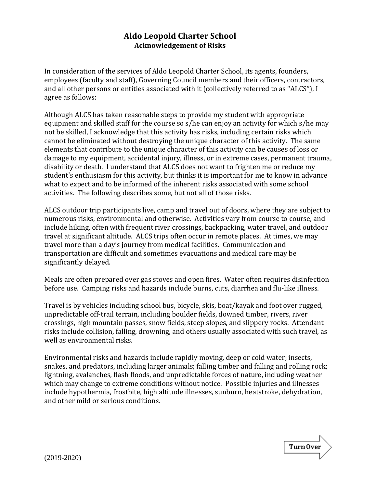## **Aldo Leopold Charter School Acknowledgement of Risks**

In consideration of the services of Aldo Leopold Charter School, its agents, founders, employees (faculty and staff), Governing Council members and their officers, contractors, and all other persons or entities associated with it (collectively referred to as "ALCS"), I agree as follows:

Although ALCS has taken reasonable steps to provide my student with appropriate equipment and skilled staff for the course so s/he can enjoy an activity for which s/he may not be skilled, I acknowledge that this activity has risks, including certain risks which cannot be eliminated without destroying the unique character of this activity. The same elements that contribute to the unique character of this activity can be causes of loss or damage to my equipment, accidental injury, illness, or in extreme cases, permanent trauma, disability or death. I understand that ALCS does not want to frighten me or reduce my student's enthusiasm for this activity, but thinks it is important for me to know in advance what to expect and to be informed of the inherent risks associated with some school activities. The following describes some, but not all of those risks.

ALCS outdoor trip participants live, camp and travel out of doors, where they are subject to numerous risks, environmental and otherwise. Activities vary from course to course, and include hiking, often with frequent river crossings, backpacking, water travel, and outdoor travel at significant altitude. ALCS trips often occur in remote places. At times, we may travel more than a day's journey from medical facilities. Communication and transportation are difficult and sometimes evacuations and medical care may be significantly delayed.

Meals are often prepared over gas stoves and open fires. Water often requires disinfection before use. Camping risks and hazards include burns, cuts, diarrhea and flu-like illness.

Travel is by vehicles including school bus, bicycle, skis, boat/kayak and foot over rugged, unpredictable off-trail terrain, including boulder fields, downed timber, rivers, river crossings, high mountain passes, snow fields, steep slopes, and slippery rocks. Attendant risks include collision, falling, drowning, and others usually associated with such travel, as well as environmental risks.

Environmental risks and hazards include rapidly moving, deep or cold water; insects, snakes, and predators, including larger animals; falling timber and falling and rolling rock; lightning, avalanches, flash floods, and unpredictable forces of nature, including weather which may change to extreme conditions without notice. Possible injuries and illnesses include hypothermia, frostbite, high altitude illnesses, sunburn, heatstroke, dehydration, and other mild or serious conditions.